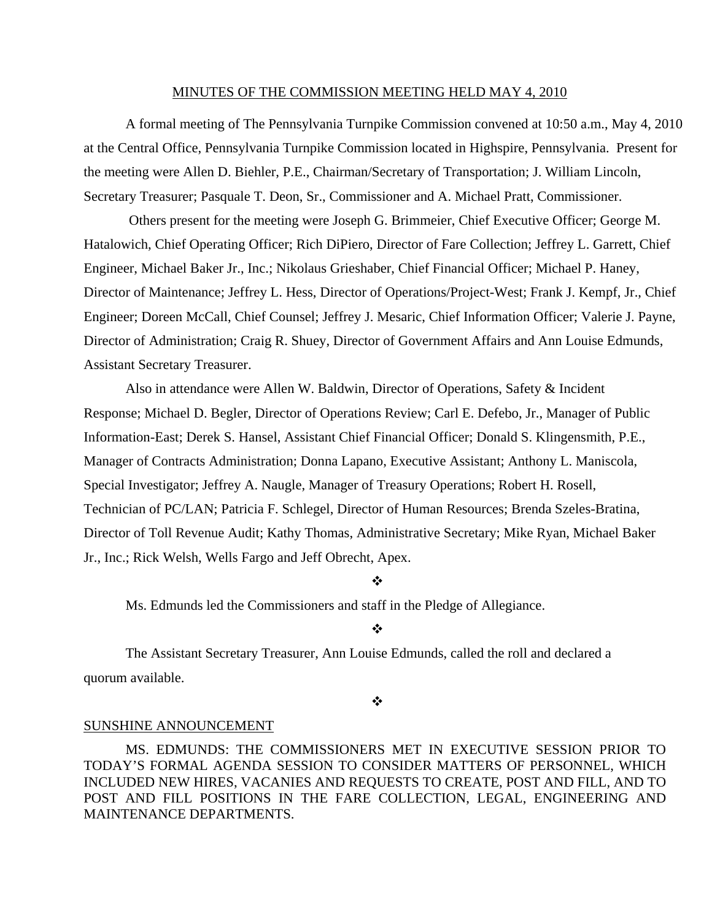#### MINUTES OF THE COMMISSION MEETING HELD MAY 4, 2010

 A formal meeting of The Pennsylvania Turnpike Commission convened at 10:50 a.m., May 4, 2010 at the Central Office, Pennsylvania Turnpike Commission located in Highspire, Pennsylvania. Present for the meeting were Allen D. Biehler, P.E., Chairman/Secretary of Transportation; J. William Lincoln, Secretary Treasurer; Pasquale T. Deon, Sr., Commissioner and A. Michael Pratt, Commissioner.

 Others present for the meeting were Joseph G. Brimmeier, Chief Executive Officer; George M. Hatalowich, Chief Operating Officer; Rich DiPiero, Director of Fare Collection; Jeffrey L. Garrett, Chief Engineer, Michael Baker Jr., Inc.; Nikolaus Grieshaber, Chief Financial Officer; Michael P. Haney, Director of Maintenance; Jeffrey L. Hess, Director of Operations/Project-West; Frank J. Kempf, Jr., Chief Engineer; Doreen McCall, Chief Counsel; Jeffrey J. Mesaric, Chief Information Officer; Valerie J. Payne, Director of Administration; Craig R. Shuey, Director of Government Affairs and Ann Louise Edmunds, Assistant Secretary Treasurer.

Also in attendance were Allen W. Baldwin, Director of Operations, Safety & Incident Response; Michael D. Begler, Director of Operations Review; Carl E. Defebo, Jr., Manager of Public Information-East; Derek S. Hansel, Assistant Chief Financial Officer; Donald S. Klingensmith, P.E., Manager of Contracts Administration; Donna Lapano, Executive Assistant; Anthony L. Maniscola, Special Investigator; Jeffrey A. Naugle, Manager of Treasury Operations; Robert H. Rosell, Technician of PC/LAN; Patricia F. Schlegel, Director of Human Resources; Brenda Szeles-Bratina, Director of Toll Revenue Audit; Kathy Thomas, Administrative Secretary; Mike Ryan, Michael Baker Jr., Inc.; Rick Welsh, Wells Fargo and Jeff Obrecht, Apex.

# ❖

Ms. Edmunds led the Commissioners and staff in the Pledge of Allegiance.

#### $\frac{1}{2}$

The Assistant Secretary Treasurer, Ann Louise Edmunds, called the roll and declared a quorum available.

#### ❖

### SUNSHINE ANNOUNCEMENT

MS. EDMUNDS: THE COMMISSIONERS MET IN EXECUTIVE SESSION PRIOR TO TODAY'S FORMAL AGENDA SESSION TO CONSIDER MATTERS OF PERSONNEL, WHICH INCLUDED NEW HIRES, VACANIES AND REQUESTS TO CREATE, POST AND FILL, AND TO POST AND FILL POSITIONS IN THE FARE COLLECTION, LEGAL, ENGINEERING AND MAINTENANCE DEPARTMENTS.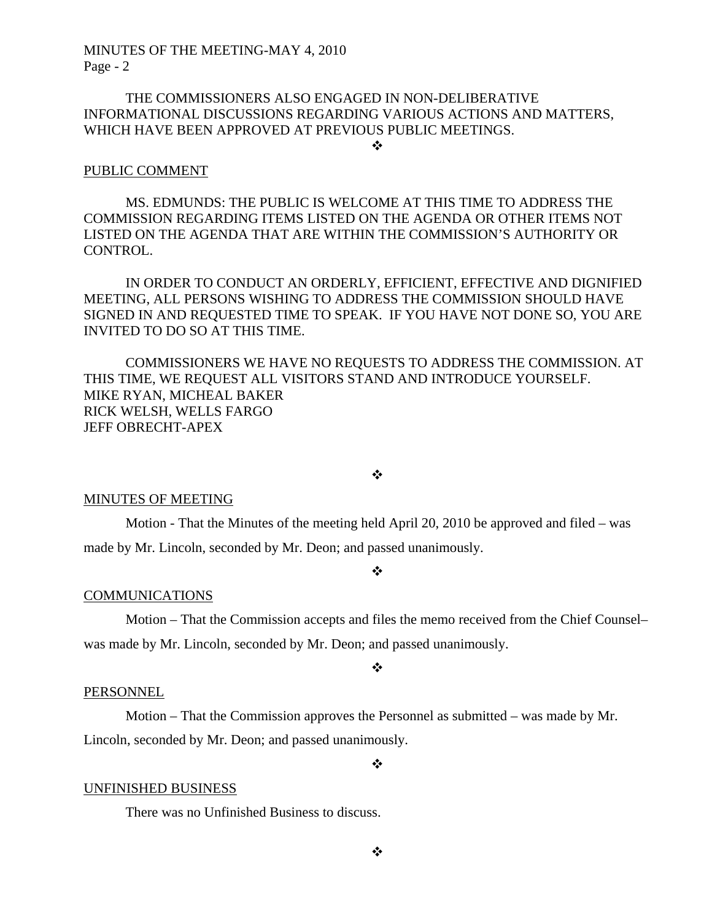# THE COMMISSIONERS ALSO ENGAGED IN NON-DELIBERATIVE INFORMATIONAL DISCUSSIONS REGARDING VARIOUS ACTIONS AND MATTERS, WHICH HAVE BEEN APPROVED AT PREVIOUS PUBLIC MEETINGS.

#### $\cdot$

#### PUBLIC COMMENT

MS. EDMUNDS: THE PUBLIC IS WELCOME AT THIS TIME TO ADDRESS THE COMMISSION REGARDING ITEMS LISTED ON THE AGENDA OR OTHER ITEMS NOT LISTED ON THE AGENDA THAT ARE WITHIN THE COMMISSION'S AUTHORITY OR CONTROL.

IN ORDER TO CONDUCT AN ORDERLY, EFFICIENT, EFFECTIVE AND DIGNIFIED MEETING, ALL PERSONS WISHING TO ADDRESS THE COMMISSION SHOULD HAVE SIGNED IN AND REQUESTED TIME TO SPEAK. IF YOU HAVE NOT DONE SO, YOU ARE INVITED TO DO SO AT THIS TIME.

COMMISSIONERS WE HAVE NO REQUESTS TO ADDRESS THE COMMISSION. AT THIS TIME, WE REQUEST ALL VISITORS STAND AND INTRODUCE YOURSELF. MIKE RYAN, MICHEAL BAKER RICK WELSH, WELLS FARGO JEFF OBRECHT-APEX

### $\mathbf{r}^{\star}_{\bullet}$

#### MINUTES OF MEETING

Motion - That the Minutes of the meeting held April 20, 2010 be approved and filed – was made by Mr. Lincoln, seconded by Mr. Deon; and passed unanimously.

#### ❖

#### COMMUNICATIONS

 Motion – That the Commission accepts and files the memo received from the Chief Counsel– was made by Mr. Lincoln, seconded by Mr. Deon; and passed unanimously.

#### ❖

#### PERSONNEL

 Motion – That the Commission approves the Personnel as submitted – was made by Mr. Lincoln, seconded by Mr. Deon; and passed unanimously.

 $\ddot{\cdot}$ 

#### UNFINISHED BUSINESS

There was no Unfinished Business to discuss.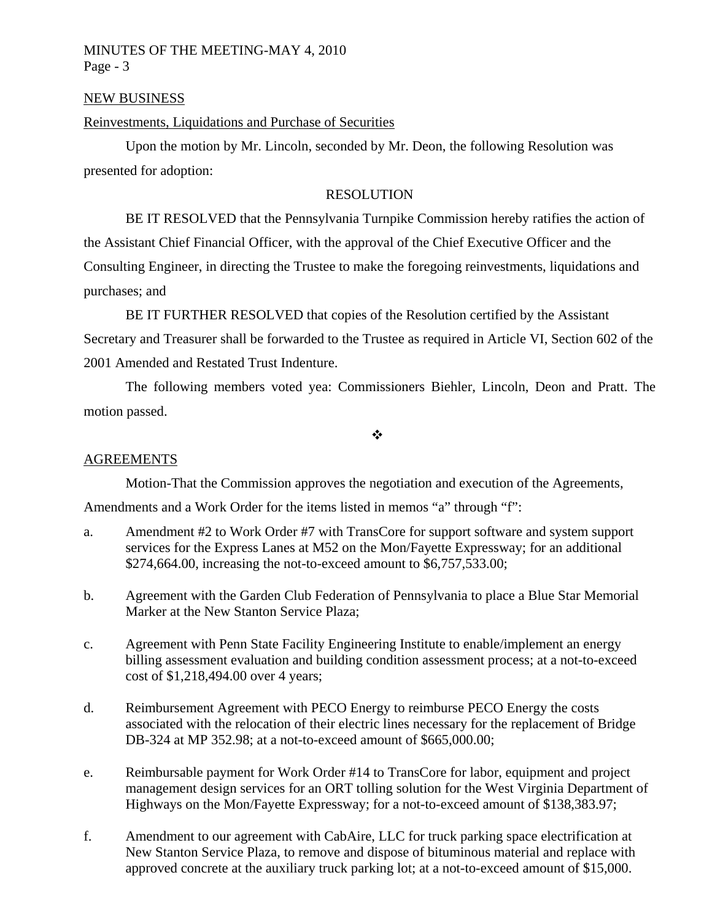## NEW BUSINESS

## Reinvestments, Liquidations and Purchase of Securities

 Upon the motion by Mr. Lincoln, seconded by Mr. Deon, the following Resolution was presented for adoption:

# RESOLUTION

 BE IT RESOLVED that the Pennsylvania Turnpike Commission hereby ratifies the action of the Assistant Chief Financial Officer, with the approval of the Chief Executive Officer and the Consulting Engineer, in directing the Trustee to make the foregoing reinvestments, liquidations and purchases; and

 BE IT FURTHER RESOLVED that copies of the Resolution certified by the Assistant Secretary and Treasurer shall be forwarded to the Trustee as required in Article VI, Section 602 of the 2001 Amended and Restated Trust Indenture.

The following members voted yea: Commissioners Biehler, Lincoln, Deon and Pratt. The motion passed.

 $\ddot{\cdot}$ 

### **AGREEMENTS**

Motion-That the Commission approves the negotiation and execution of the Agreements,

Amendments and a Work Order for the items listed in memos "a" through "f":

- a. Amendment #2 to Work Order #7 with TransCore for support software and system support services for the Express Lanes at M52 on the Mon/Fayette Expressway; for an additional \$274,664.00, increasing the not-to-exceed amount to \$6,757,533.00;
- b. Agreement with the Garden Club Federation of Pennsylvania to place a Blue Star Memorial Marker at the New Stanton Service Plaza;
- c. Agreement with Penn State Facility Engineering Institute to enable/implement an energy billing assessment evaluation and building condition assessment process; at a not-to-exceed cost of \$1,218,494.00 over 4 years;
- d. Reimbursement Agreement with PECO Energy to reimburse PECO Energy the costs associated with the relocation of their electric lines necessary for the replacement of Bridge DB-324 at MP 352.98; at a not-to-exceed amount of \$665,000.00;
- e. Reimbursable payment for Work Order #14 to TransCore for labor, equipment and project management design services for an ORT tolling solution for the West Virginia Department of Highways on the Mon/Fayette Expressway; for a not-to-exceed amount of \$138,383.97;
- f. Amendment to our agreement with CabAire, LLC for truck parking space electrification at New Stanton Service Plaza, to remove and dispose of bituminous material and replace with approved concrete at the auxiliary truck parking lot; at a not-to-exceed amount of \$15,000.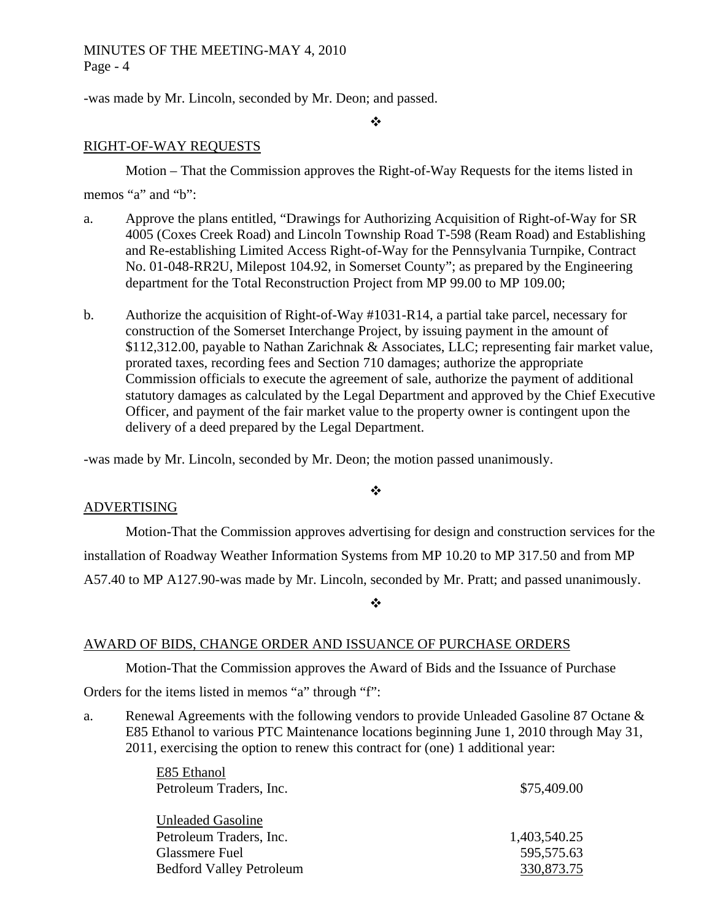-was made by Mr. Lincoln, seconded by Mr. Deon; and passed.

 $\ddot{\bullet}$ 

# RIGHT-OF-WAY REQUESTS

Motion – That the Commission approves the Right-of-Way Requests for the items listed in memos "a" and "b":

- a. Approve the plans entitled, "Drawings for Authorizing Acquisition of Right-of-Way for SR 4005 (Coxes Creek Road) and Lincoln Township Road T-598 (Ream Road) and Establishing and Re-establishing Limited Access Right-of-Way for the Pennsylvania Turnpike, Contract No. 01-048-RR2U, Milepost 104.92, in Somerset County"; as prepared by the Engineering department for the Total Reconstruction Project from MP 99.00 to MP 109.00;
- b. Authorize the acquisition of Right-of-Way #1031-R14, a partial take parcel, necessary for construction of the Somerset Interchange Project, by issuing payment in the amount of \$112,312.00, payable to Nathan Zarichnak & Associates, LLC; representing fair market value, prorated taxes, recording fees and Section 710 damages; authorize the appropriate Commission officials to execute the agreement of sale, authorize the payment of additional statutory damages as calculated by the Legal Department and approved by the Chief Executive Officer, and payment of the fair market value to the property owner is contingent upon the delivery of a deed prepared by the Legal Department.

-was made by Mr. Lincoln, seconded by Mr. Deon; the motion passed unanimously.

# ❖

# ADVERTISING

Motion-That the Commission approves advertising for design and construction services for the installation of Roadway Weather Information Systems from MP 10.20 to MP 317.50 and from MP A57.40 to MP A127.90-was made by Mr. Lincoln, seconded by Mr. Pratt; and passed unanimously.

 $\frac{1}{2}$ 

# AWARD OF BIDS, CHANGE ORDER AND ISSUANCE OF PURCHASE ORDERS

Motion-That the Commission approves the Award of Bids and the Issuance of Purchase

Orders for the items listed in memos "a" through "f":

a. Renewal Agreements with the following vendors to provide Unleaded Gasoline 87 Octane & E85 Ethanol to various PTC Maintenance locations beginning June 1, 2010 through May 31, 2011, exercising the option to renew this contract for (one) 1 additional year:

| E85 Ethanol                     |              |
|---------------------------------|--------------|
| Petroleum Traders, Inc.         | \$75,409.00  |
| <b>Unleaded Gasoline</b>        |              |
|                                 |              |
| Petroleum Traders, Inc.         | 1,403,540.25 |
| Glassmere Fuel                  | 595,575.63   |
| <b>Bedford Valley Petroleum</b> | 330,873.75   |
|                                 |              |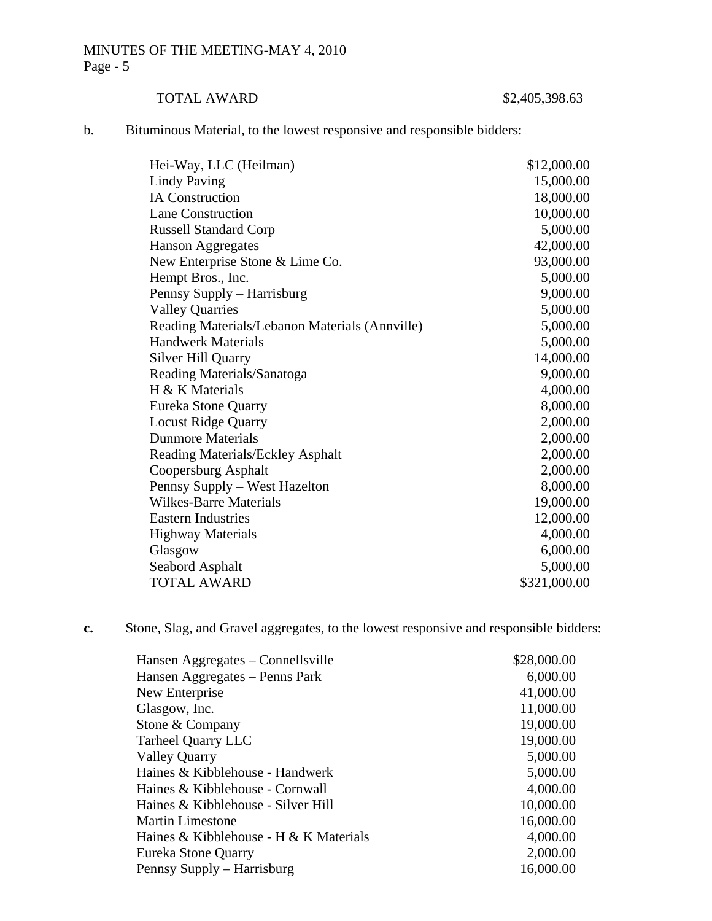# TOTAL AWARD \$2,405,398.63

b. Bituminous Material, to the lowest responsive and responsible bidders:

| Hei-Way, LLC (Heilman)                         | \$12,000.00  |
|------------------------------------------------|--------------|
| <b>Lindy Paving</b>                            | 15,000.00    |
| <b>IA Construction</b>                         | 18,000.00    |
| <b>Lane Construction</b>                       | 10,000.00    |
| <b>Russell Standard Corp</b>                   | 5,000.00     |
| <b>Hanson Aggregates</b>                       | 42,000.00    |
| New Enterprise Stone & Lime Co.                | 93,000.00    |
| Hempt Bros., Inc.                              | 5,000.00     |
| Pennsy Supply – Harrisburg                     | 9,000.00     |
| <b>Valley Quarries</b>                         | 5,000.00     |
| Reading Materials/Lebanon Materials (Annville) | 5,000.00     |
| <b>Handwerk Materials</b>                      | 5,000.00     |
| <b>Silver Hill Quarry</b>                      | 14,000.00    |
| Reading Materials/Sanatoga                     | 9,000.00     |
| H & K Materials                                | 4,000.00     |
| Eureka Stone Quarry                            | 8,000.00     |
| <b>Locust Ridge Quarry</b>                     | 2,000.00     |
| <b>Dunmore Materials</b>                       | 2,000.00     |
| Reading Materials/Eckley Asphalt               | 2,000.00     |
| Coopersburg Asphalt                            | 2,000.00     |
| Pennsy Supply – West Hazelton                  | 8,000.00     |
| <b>Wilkes-Barre Materials</b>                  | 19,000.00    |
| <b>Eastern Industries</b>                      | 12,000.00    |
| <b>Highway Materials</b>                       | 4,000.00     |
| Glasgow                                        | 6,000.00     |
| Seabord Asphalt                                | 5,000.00     |
| <b>TOTAL AWARD</b>                             | \$321,000.00 |

**c.** Stone, Slag, and Gravel aggregates, to the lowest responsive and responsible bidders:

| \$28,000.00 |
|-------------|
| 6,000.00    |
| 41,000.00   |
| 11,000.00   |
| 19,000.00   |
| 19,000.00   |
| 5,000.00    |
| 5,000.00    |
| 4,000.00    |
| 10,000.00   |
| 16,000.00   |
| 4,000.00    |
| 2,000.00    |
| 16,000.00   |
|             |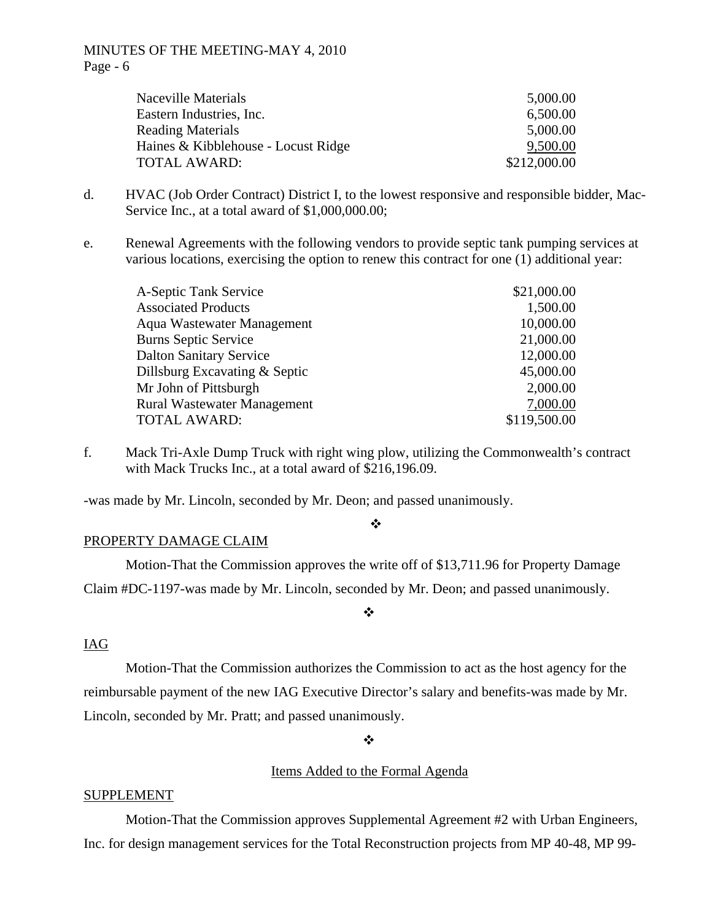| 5,000.00     |
|--------------|
| 6,500.00     |
| 5,000.00     |
| 9,500.00     |
| \$212,000.00 |
|              |

- d. HVAC (Job Order Contract) District I, to the lowest responsive and responsible bidder, Mac-Service Inc., at a total award of \$1,000,000.00;
- e. Renewal Agreements with the following vendors to provide septic tank pumping services at various locations, exercising the option to renew this contract for one (1) additional year:

| \$21,000.00  |
|--------------|
| 1,500.00     |
| 10,000.00    |
| 21,000.00    |
| 12,000.00    |
| 45,000.00    |
| 2,000.00     |
| 7,000.00     |
| \$119,500.00 |
|              |

f. Mack Tri-Axle Dump Truck with right wing plow, utilizing the Commonwealth's contract with Mack Trucks Inc., at a total award of \$216,196.09.

-was made by Mr. Lincoln, seconded by Mr. Deon; and passed unanimously.

#### $\cdot$

### PROPERTY DAMAGE CLAIM

Motion-That the Commission approves the write off of \$13,711.96 for Property Damage Claim #DC-1197-was made by Mr. Lincoln, seconded by Mr. Deon; and passed unanimously.

# $\frac{1}{2}$

## IAG

Motion-That the Commission authorizes the Commission to act as the host agency for the reimbursable payment of the new IAG Executive Director's salary and benefits-was made by Mr. Lincoln, seconded by Mr. Pratt; and passed unanimously.

 $\bullet^{\bullet}_{\bullet} \bullet$ 

# Items Added to the Formal Agenda

### SUPPLEMENT

Motion-That the Commission approves Supplemental Agreement #2 with Urban Engineers, Inc. for design management services for the Total Reconstruction projects from MP 40-48, MP 99-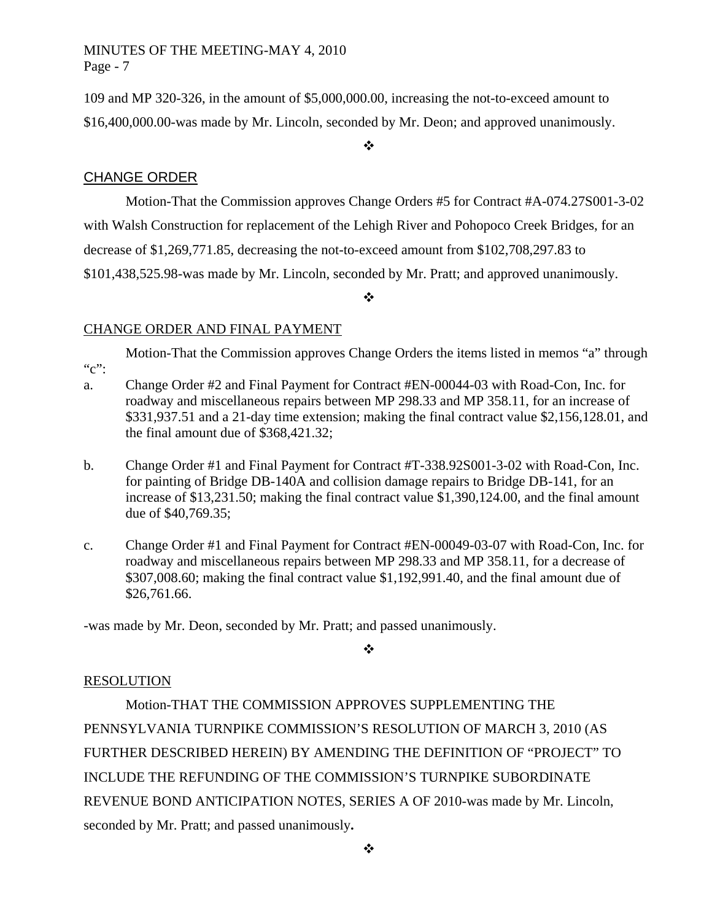109 and MP 320-326, in the amount of \$5,000,000.00, increasing the not-to-exceed amount to \$16,400,000.00-was made by Mr. Lincoln, seconded by Mr. Deon; and approved unanimously.

 $\bullet^{\bullet}_{\bullet} \bullet$ 

# CHANGE ORDER

Motion-That the Commission approves Change Orders #5 for Contract #A-074.27S001-3-02 with Walsh Construction for replacement of the Lehigh River and Pohopoco Creek Bridges, for an decrease of \$1,269,771.85, decreasing the not-to-exceed amount from \$102,708,297.83 to \$101,438,525.98-was made by Mr. Lincoln, seconded by Mr. Pratt; and approved unanimously.

 $\frac{1}{2}$ 

# CHANGE ORDER AND FINAL PAYMENT

Motion-That the Commission approves Change Orders the items listed in memos "a" through  $C$ ":

- a. Change Order #2 and Final Payment for Contract #EN-00044-03 with Road-Con, Inc. for roadway and miscellaneous repairs between MP 298.33 and MP 358.11, for an increase of \$331,937.51 and a 21-day time extension; making the final contract value \$2,156,128.01, and the final amount due of \$368,421.32;
- b. Change Order #1 and Final Payment for Contract #T-338.92S001-3-02 with Road-Con, Inc. for painting of Bridge DB-140A and collision damage repairs to Bridge DB-141, for an increase of \$13,231.50; making the final contract value \$1,390,124.00, and the final amount due of \$40,769.35;
- c. Change Order #1 and Final Payment for Contract #EN-00049-03-07 with Road-Con, Inc. for roadway and miscellaneous repairs between MP 298.33 and MP 358.11, for a decrease of \$307,008.60; making the final contract value \$1,192,991.40, and the final amount due of \$26,761.66.

-was made by Mr. Deon, seconded by Mr. Pratt; and passed unanimously.

 $\frac{1}{2}$ 

# RESOLUTION

Motion-THAT THE COMMISSION APPROVES SUPPLEMENTING THE PENNSYLVANIA TURNPIKE COMMISSION'S RESOLUTION OF MARCH 3, 2010 (AS FURTHER DESCRIBED HEREIN) BY AMENDING THE DEFINITION OF "PROJECT" TO INCLUDE THE REFUNDING OF THE COMMISSION'S TURNPIKE SUBORDINATE REVENUE BOND ANTICIPATION NOTES, SERIES A OF 2010-was made by Mr. Lincoln, seconded by Mr. Pratt; and passed unanimously**.**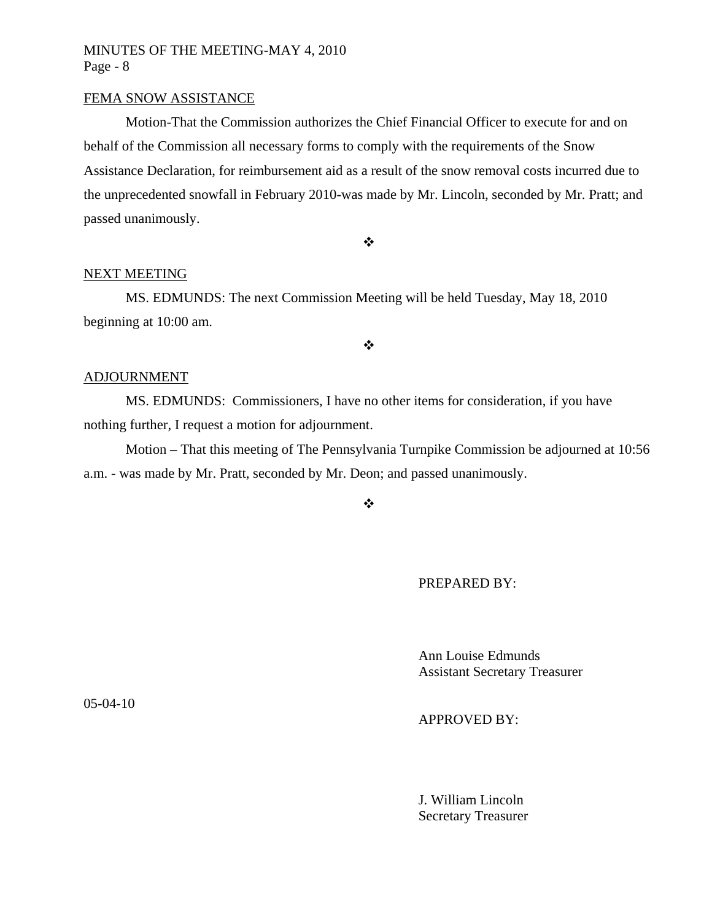### FEMA SNOW ASSISTANCE

Motion-That the Commission authorizes the Chief Financial Officer to execute for and on behalf of the Commission all necessary forms to comply with the requirements of the Snow Assistance Declaration, for reimbursement aid as a result of the snow removal costs incurred due to the unprecedented snowfall in February 2010-was made by Mr. Lincoln, seconded by Mr. Pratt; and passed unanimously.

 $\ddot{\bullet}$ 

#### NEXT MEETING

MS. EDMUNDS: The next Commission Meeting will be held Tuesday, May 18, 2010 beginning at 10:00 am.

 $\bullet^{\bullet}_{\bullet} \bullet$ 

### ADJOURNMENT

MS. EDMUNDS: Commissioners, I have no other items for consideration, if you have nothing further, I request a motion for adjournment.

Motion – That this meeting of The Pennsylvania Turnpike Commission be adjourned at 10:56 a.m. - was made by Mr. Pratt, seconded by Mr. Deon; and passed unanimously.

 $\frac{1}{2}$ 

PREPARED BY:

 Ann Louise Edmunds Assistant Secretary Treasurer

APPROVED BY:

 J. William Lincoln Secretary Treasurer

05-04-10